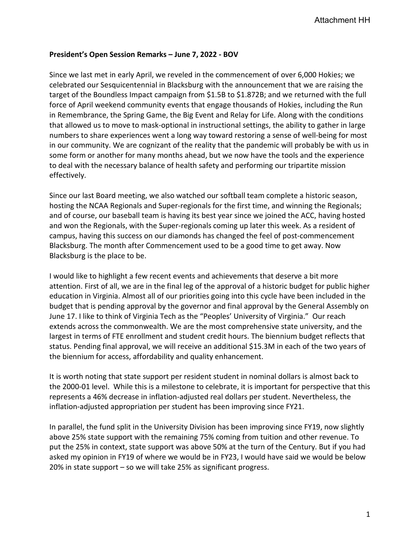## **President's Open Session Remarks – June 7, 2022 - BOV**

Since we last met in early April, we reveled in the commencement of over 6,000 Hokies; we celebrated our Sesquicentennial in Blacksburg with the announcement that we are raising the target of the Boundless Impact campaign from \$1.5B to \$1.872B; and we returned with the full force of April weekend community events that engage thousands of Hokies, including the Run in Remembrance, the Spring Game, the Big Event and Relay for Life. Along with the conditions that allowed us to move to mask-optional in instructional settings, the ability to gather in large numbers to share experiences went a long way toward restoring a sense of well-being for most in our community. We are cognizant of the reality that the pandemic will probably be with us in some form or another for many months ahead, but we now have the tools and the experience to deal with the necessary balance of health safety and performing our tripartite mission effectively.

Since our last Board meeting, we also watched our softball team complete a historic season, hosting the NCAA Regionals and Super-regionals for the first time, and winning the Regionals; and of course, our baseball team is having its best year since we joined the ACC, having hosted and won the Regionals, with the Super-regionals coming up later this week. As a resident of campus, having this success on our diamonds has changed the feel of post-commencement Blacksburg. The month after Commencement used to be a good time to get away. Now Blacksburg is the place to be.

I would like to highlight a few recent events and achievements that deserve a bit more attention. First of all, we are in the final leg of the approval of a historic budget for public higher education in Virginia. Almost all of our priorities going into this cycle have been included in the budget that is pending approval by the governor and final approval by the General Assembly on June 17. I like to think of Virginia Tech as the "Peoples' University of Virginia." Our reach extends across the commonwealth. We are the most comprehensive state university, and the largest in terms of FTE enrollment and student credit hours. The biennium budget reflects that status. Pending final approval, we will receive an additional \$15.3M in each of the two years of the biennium for access, affordability and quality enhancement.

It is worth noting that state support per resident student in nominal dollars is almost back to the 2000-01 level. While this is a milestone to celebrate, it is important for perspective that this represents a 46% decrease in inflation-adjusted real dollars per student. Nevertheless, the inflation-adjusted appropriation per student has been improving since FY21.

In parallel, the fund split in the University Division has been improving since FY19, now slightly above 25% state support with the remaining 75% coming from tuition and other revenue. To put the 25% in context, state support was above 50% at the turn of the Century. But if you had asked my opinion in FY19 of where we would be in FY23, I would have said we would be below 20% in state support – so we will take 25% as significant progress.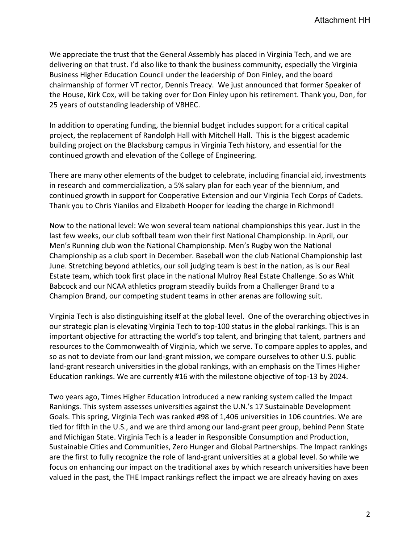We appreciate the trust that the General Assembly has placed in Virginia Tech, and we are delivering on that trust. I'd also like to thank the business community, especially the Virginia Business Higher Education Council under the leadership of Don Finley, and the board chairmanship of former VT rector, Dennis Treacy. We just announced that former Speaker of the House, Kirk Cox, will be taking over for Don Finley upon his retirement. Thank you, Don, for 25 years of outstanding leadership of VBHEC.

In addition to operating funding, the biennial budget includes support for a critical capital project, the replacement of Randolph Hall with Mitchell Hall. This is the biggest academic building project on the Blacksburg campus in Virginia Tech history, and essential for the continued growth and elevation of the College of Engineering.

There are many other elements of the budget to celebrate, including financial aid, investments in research and commercialization, a 5% salary plan for each year of the biennium, and continued growth in support for Cooperative Extension and our Virginia Tech Corps of Cadets. Thank you to Chris Yianilos and Elizabeth Hooper for leading the charge in Richmond!

Now to the national level: We won several team national championships this year. Just in the last few weeks, our club softball team won their first National Championship. In April, our Men's Running club won the National Championship. Men's Rugby won the National Championship as a club sport in December. Baseball won the club National Championship last June. Stretching beyond athletics, our soil judging team is best in the nation, as is our Real Estate team, which took first place in the national Mulroy Real Estate Challenge. So as Whit Babcock and our NCAA athletics program steadily builds from a Challenger Brand to a Champion Brand, our competing student teams in other arenas are following suit.

Virginia Tech is also distinguishing itself at the global level. One of the overarching objectives in our strategic plan is elevating Virginia Tech to top-100 status in the global rankings. This is an important objective for attracting the world's top talent, and bringing that talent, partners and resources to the Commonwealth of Virginia, which we serve. To compare apples to apples, and so as not to deviate from our land-grant mission, we compare ourselves to other U.S. public land-grant research universities in the global rankings, with an emphasis on the Times Higher Education rankings. We are currently #16 with the milestone objective of top-13 by 2024.

Two years ago, Times Higher Education introduced a new ranking system called the Impact Rankings. This system assesses universities against the U.N.'s 17 Sustainable Development Goals. This spring, Virginia Tech was ranked #98 of 1,406 universities in 106 countries. We are tied for fifth in the U.S., and we are third among our land-grant peer group, behind Penn State and Michigan State. Virginia Tech is a leader in Responsible Consumption and Production, Sustainable Cities and Communities, Zero Hunger and Global Partnerships. The Impact rankings are the first to fully recognize the role of land-grant universities at a global level. So while we focus on enhancing our impact on the traditional axes by which research universities have been valued in the past, the THE Impact rankings reflect the impact we are already having on axes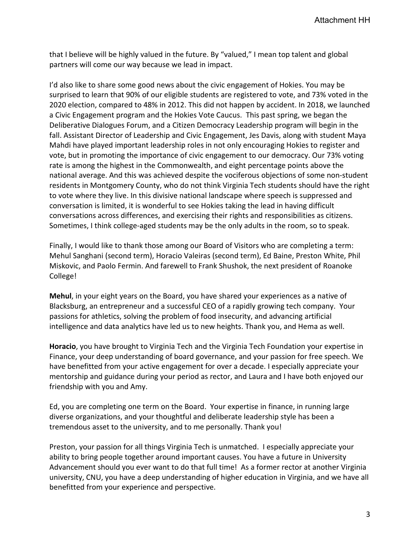that I believe will be highly valued in the future. By "valued," I mean top talent and global partners will come our way because we lead in impact.

I'd also like to share some good news about the civic engagement of Hokies. You may be surprised to learn that 90% of our eligible students are registered to vote, and 73% voted in the 2020 election, compared to 48% in 2012. This did not happen by accident. In 2018, we launched a Civic Engagement program and the Hokies Vote Caucus. This past spring, we began the Deliberative Dialogues Forum, and a Citizen Democracy Leadership program will begin in the fall. Assistant Director of Leadership and Civic Engagement, Jes Davis, along with student Maya Mahdi have played important leadership roles in not only encouraging Hokies to register and vote, but in promoting the importance of civic engagement to our democracy. Our 73% voting rate is among the highest in the Commonwealth, and eight percentage points above the national average. And this was achieved despite the vociferous objections of some non-student residents in Montgomery County, who do not think Virginia Tech students should have the right to vote where they live. In this divisive national landscape where speech is suppressed and conversation is limited, it is wonderful to see Hokies taking the lead in having difficult conversations across differences, and exercising their rights and responsibilities as citizens. Sometimes, I think college-aged students may be the only adults in the room, so to speak.

Finally, I would like to thank those among our Board of Visitors who are completing a term: Mehul Sanghani (second term), Horacio Valeiras (second term), Ed Baine, Preston White, Phil Miskovic, and Paolo Fermin. And farewell to Frank Shushok, the next president of Roanoke College!

**Mehul**, in your eight years on the Board, you have shared your experiences as a native of Blacksburg, an entrepreneur and a successful CEO of a rapidly growing tech company. Your passions for athletics, solving the problem of food insecurity, and advancing artificial intelligence and data analytics have led us to new heights. Thank you, and Hema as well.

**Horacio**, you have brought to Virginia Tech and the Virginia Tech Foundation your expertise in Finance, your deep understanding of board governance, and your passion for free speech. We have benefitted from your active engagement for over a decade. I especially appreciate your mentorship and guidance during your period as rector, and Laura and I have both enjoyed our friendship with you and Amy.

Ed, you are completing one term on the Board. Your expertise in finance, in running large diverse organizations, and your thoughtful and deliberate leadership style has been a tremendous asset to the university, and to me personally. Thank you!

Preston, your passion for all things Virginia Tech is unmatched. I especially appreciate your ability to bring people together around important causes. You have a future in University Advancement should you ever want to do that full time! As a former rector at another Virginia university, CNU, you have a deep understanding of higher education in Virginia, and we have all benefitted from your experience and perspective.